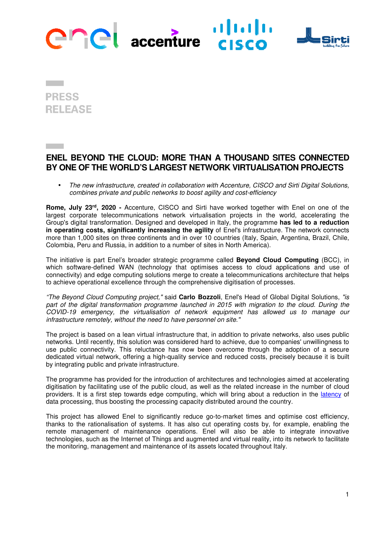

**PRESS RELEASE** 

# **ENEL BEYOND THE CLOUD: MORE THAN A THOUSAND SITES CONNECTED BY ONE OF THE WORLD'S LARGEST NETWORK VIRTUALISATION PROJECTS**

• The new infrastructure, created in collaboration with Accenture, CISCO and Sirti Digital Solutions, combines private and public networks to boost agility and cost-efficiency

**Rome, July 23rd, 2020 -** Accenture, CISCO and Sirti have worked together with Enel on one of the largest corporate telecommunications network virtualisation projects in the world, accelerating the Group's digital transformation. Designed and developed in Italy, the programme **has led to a reduction in operating costs, significantly increasing the agility** of Enel's infrastructure. The network connects more than 1,000 sites on three continents and in over 10 countries (Italy, Spain, Argentina, Brazil, Chile, Colombia, Peru and Russia, in addition to a number of sites in North America).

The initiative is part Enel's broader strategic programme called **Beyond Cloud Computing** (BCC), in which software-defined WAN (technology that optimises access to cloud applications and use of connectivity) and edge computing solutions merge to create a telecommunications architecture that helps to achieve operational excellence through the comprehensive digitisation of processes.

"The Beyond Cloud Computing project," said **Carlo Bozzoli**, Enel's Head of Global Digital Solutions, "is part of the digital transformation programme launched in 2015 with migration to the cloud. During the COVID-19 emergency, the virtualisation of network equipment has allowed us to manage our infrastructure remotely, without the need to have personnel on site."

The project is based on a lean virtual infrastructure that, in addition to private networks, also uses public networks. Until recently, this solution was considered hard to achieve, due to companies' unwillingness to use public connectivity. This reluctance has now been overcome through the adoption of a secure dedicated virtual network, offering a high-quality service and reduced costs, precisely because it is built by integrating public and private infrastructure.

The programme has provided for the introduction of architectures and technologies aimed at accelerating digitisation by facilitating use of the public cloud, as well as the related increase in the number of cloud providers. It is a first step towards edge computing, which will bring about a reduction in the latency of data processing, thus boosting the processing capacity distributed around the country.

This project has allowed Enel to significantly reduce go-to-market times and optimise cost efficiency, thanks to the rationalisation of systems. It has also cut operating costs by, for example, enabling the remote management of maintenance operations. Enel will also be able to integrate innovative technologies, such as the Internet of Things and augmented and virtual reality, into its network to facilitate the monitoring, management and maintenance of its assets located throughout Italy.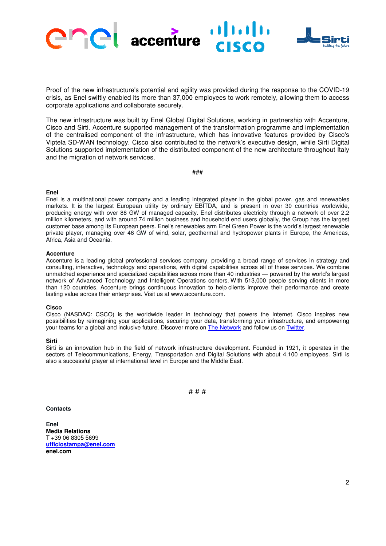

Proof of the new infrastructure's potential and agility was provided during the response to the COVID-19 crisis, as Enel swiftly enabled its more than 37,000 employees to work remotely, allowing them to access corporate applications and collaborate securely.

The new infrastructure was built by Enel Global Digital Solutions, working in partnership with Accenture, Cisco and Sirti. Accenture supported management of the transformation programme and implementation of the centralised component of the infrastructure, which has innovative features provided by Cisco's Viptela SD-WAN technology. Cisco also contributed to the network's executive design, while Sirti Digital Solutions supported implementation of the distributed component of the new architecture throughout Italy and the migration of network services.

###

#### **Enel**

Enel is a multinational power company and a leading integrated player in the global power, gas and renewables markets. It is the largest European utility by ordinary EBITDA, and is present in over 30 countries worldwide, producing energy with over 88 GW of managed capacity. Enel distributes electricity through a network of over 2.2 million kilometers, and with around 74 million business and household end users globally, the Group has the largest customer base among its European peers. Enel's renewables arm Enel Green Power is the world's largest renewable private player, managing over 46 GW of wind, solar, geothermal and hydropower plants in Europe, the Americas, Africa, Asia and Oceania.

### **Accenture**

Accenture is a leading global professional services company, providing a broad range of services in strategy and consulting, interactive, technology and operations, with digital capabilities across all of these services. We combine unmatched experience and specialized capabilities across more than 40 industries — powered by the world's largest network of Advanced Technology and Intelligent Operations centers. With 513,000 people serving clients in more than 120 countries, Accenture brings continuous innovation to help clients improve their performance and create lasting value across their enterprises. Visit us at www.accenture.com.

### **Cisco**

Cisco (NASDAQ: CSCO) is the worldwide leader in technology that powers the Internet. Cisco inspires new possibilities by reimagining your applications, securing your data, transforming your infrastructure, and empowering your teams for a global and inclusive future. Discover more on The Network and follow us on Twitter.

### **Sirti**

Sirti is an innovation hub in the field of network infrastructure development. Founded in 1921, it operates in the sectors of Telecommunications, Energy, Transportation and Digital Solutions with about 4,100 employees. Sirti is also a successful player at international level in Europe and the Middle East.

# # #

#### **Contacts**

**Enel Media Relations**  T +39 06 8305 5699 **ufficiostampa@enel.com enel.com**